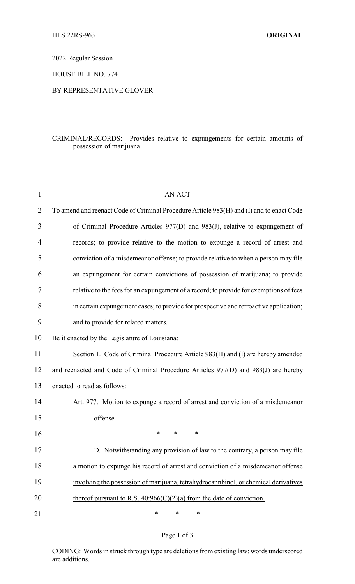2022 Regular Session

HOUSE BILL NO. 774

## BY REPRESENTATIVE GLOVER

## CRIMINAL/RECORDS: Provides relative to expungements for certain amounts of possession of marijuana

| $\mathbf{1}$   | <b>AN ACT</b>                                                                            |  |  |
|----------------|------------------------------------------------------------------------------------------|--|--|
| $\overline{2}$ | To amend and reenact Code of Criminal Procedure Article 983(H) and (I) and to enact Code |  |  |
| 3              | of Criminal Procedure Articles 977(D) and 983(J), relative to expungement of             |  |  |
| 4              | records; to provide relative to the motion to expunge a record of arrest and             |  |  |
| 5              | conviction of a misdemeanor offense; to provide relative to when a person may file       |  |  |
| 6              | an expungement for certain convictions of possession of marijuana; to provide            |  |  |
| 7              | relative to the fees for an expungement of a record; to provide for exemptions of fees   |  |  |
| 8              | in certain expungement cases; to provide for prospective and retroactive application;    |  |  |
| 9              | and to provide for related matters.                                                      |  |  |
| 10             | Be it enacted by the Legislature of Louisiana:                                           |  |  |
| 11             | Section 1. Code of Criminal Procedure Article 983(H) and (I) are hereby amended          |  |  |
| 12             | and reenacted and Code of Criminal Procedure Articles 977(D) and 983(J) are hereby       |  |  |
| 13             | enacted to read as follows:                                                              |  |  |
| 14             | Art. 977. Motion to expunge a record of arrest and conviction of a misdemeanor           |  |  |
| 15             | offense                                                                                  |  |  |
| 16             | $\ast$<br>$\ast$<br>$\ast$                                                               |  |  |
| 17             | D. Notwithstanding any provision of law to the contrary, a person may file               |  |  |
| 18             | a motion to expunge his record of arrest and conviction of a misdemeanor offense         |  |  |
| 19             | involving the possession of marijuana, tetrahydrocannbinol, or chemical derivatives      |  |  |
| 20             | thereof pursuant to R.S. $40:966(C)(2)(a)$ from the date of conviction.                  |  |  |
| 21             | $\ast$<br>∗<br>*                                                                         |  |  |

## Page 1 of 3

CODING: Words in struck through type are deletions from existing law; words underscored are additions.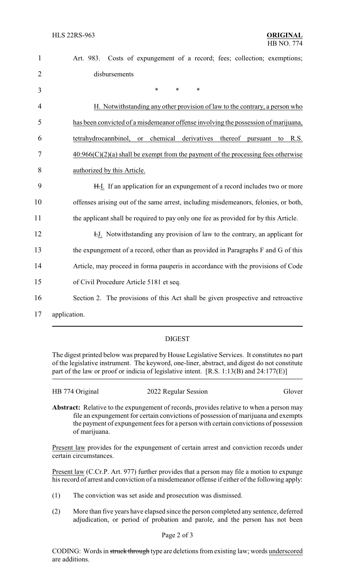| $\mathbf{1}$   | Costs of expungement of a record; fees; collection; exemptions;<br>Art. 983.         |
|----------------|--------------------------------------------------------------------------------------|
| $\overline{2}$ | disbursements                                                                        |
| 3              | *<br>$\ast$<br>$\ast$                                                                |
| 4              | H. Notwithstanding any other provision of law to the contrary, a person who          |
| 5              | has been convicted of a misdemeanor offense involving the possession of marijuana,   |
| 6              | or chemical derivatives thereof<br>tetrahydrocannbinol,<br>pursuant<br>R.S.<br>to    |
| 7              | $40:966(C)(2)(a)$ shall be exempt from the payment of the processing fees otherwise  |
| 8              | authorized by this Article.                                                          |
| 9              | H.I. If an application for an expungement of a record includes two or more           |
| 10             | offenses arising out of the same arrest, including misdemeanors, felonies, or both,  |
| 11             | the applicant shall be required to pay only one fee as provided for by this Article. |
| 12             | H.J. Notwithstanding any provision of law to the contrary, an applicant for          |
| 13             | the expungement of a record, other than as provided in Paragraphs F and G of this    |
| 14             | Article, may proceed in forma pauperis in accordance with the provisions of Code     |
| 15             | of Civil Procedure Article 5181 et seq.                                              |
| 16             | Section 2. The provisions of this Act shall be given prospective and retroactive     |
| 17             | application.                                                                         |

## DIGEST

The digest printed below was prepared by House Legislative Services. It constitutes no part of the legislative instrument. The keyword, one-liner, abstract, and digest do not constitute part of the law or proof or indicia of legislative intent. [R.S. 1:13(B) and 24:177(E)]

| HB 774 Original | 2022 Regular Session | Glover |
|-----------------|----------------------|--------|
|                 |                      |        |

**Abstract:** Relative to the expungement of records, provides relative to when a person may file an expungement for certain convictions of possession of marijuana and exempts the payment of expungement fees for a person with certain convictions of possession of marijuana.

Present law provides for the expungement of certain arrest and conviction records under certain circumstances.

Present law (C.Cr.P. Art. 977) further provides that a person may file a motion to expunge his record of arrest and conviction of a misdemeanor offense if either of the following apply:

- (1) The conviction was set aside and prosecution was dismissed.
- (2) More than five years have elapsed since the person completed any sentence, deferred adjudication, or period of probation and parole, and the person has not been